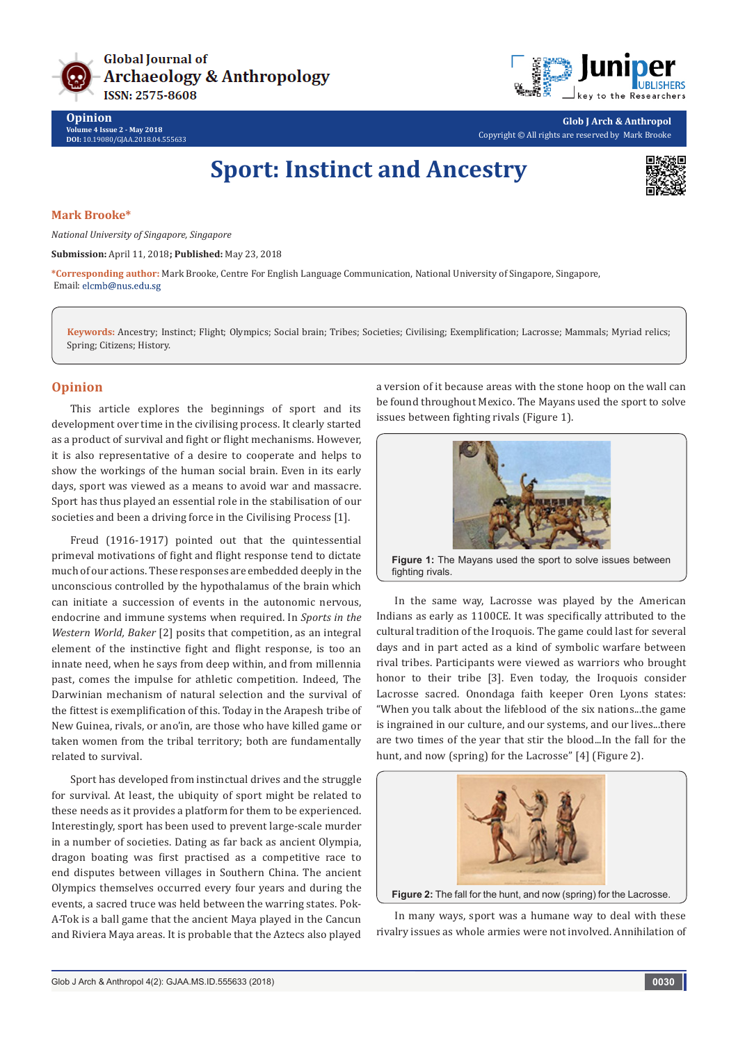



**Glob J Arch & Anthropol** Copyright © All rights are reserved by Mark Brooke

# **Sport: Instinct and Ancestry**



#### **Mark Brooke\***

**Opinion**

**Volume 4 Issue 2 - May 2018 DOI:** [10.19080/GJAA.2018.04.555633](http://dx.doi.org/10.19080/GJAA.2018.04.555633)

*National University of Singapore, Singapore*

**Submission:** April 11, 2018**; Published:** May 23, 2018

**\*Corresponding author:** Mark Brooke, Centre For English Language Communication, National University of Singapore, Singapore, Email: elcmb@nus.edu.sg

**Keywords:** Ancestry; Instinct; Flight; Olympics; Social brain; Tribes; Societies; Civilising; Exemplification; Lacrosse; Mammals; Myriad relics; Spring; Citizens; History.

## **Opinion**

This article explores the beginnings of sport and its development over time in the civilising process. It clearly started as a product of survival and fight or flight mechanisms. However, it is also representative of a desire to cooperate and helps to show the workings of the human social brain. Even in its early days, sport was viewed as a means to avoid war and massacre. Sport has thus played an essential role in the stabilisation of our societies and been a driving force in the Civilising Process [1].

Freud (1916-1917) pointed out that the quintessential primeval motivations of fight and flight response tend to dictate much of our actions. These responses are embedded deeply in the unconscious controlled by the hypothalamus of the brain which can initiate a succession of events in the autonomic nervous, endocrine and immune systems when required. In *Sports in the Western World, Baker* [2] posits that competition, as an integral element of the instinctive fight and flight response, is too an innate need, when he says from deep within, and from millennia past, comes the impulse for athletic competition. Indeed, The Darwinian mechanism of natural selection and the survival of the fittest is exemplification of this. Today in the Arapesh tribe of New Guinea, rivals, or ano'in, are those who have killed game or taken women from the tribal territory; both are fundamentally related to survival.

Sport has developed from instinctual drives and the struggle for survival. At least, the ubiquity of sport might be related to these needs as it provides a platform for them to be experienced. Interestingly, sport has been used to prevent large-scale murder in a number of societies. Dating as far back as ancient Olympia, dragon boating was first practised as a competitive race to end disputes between villages in Southern China. The ancient Olympics themselves occurred every four years and during the events, a sacred truce was held between the warring states. Pok-A-Tok is a ball game that the ancient Maya played in the Cancun and Riviera Maya areas. It is probable that the Aztecs also played

a version of it because areas with the stone hoop on the wall can be found throughout Mexico. The Mayans used the sport to solve issues between fighting rivals (Figure 1).



**Figure 1:** The Mayans used the sport to solve issues between fighting rivals.

In the same way, Lacrosse was played by the American Indians as early as 1100CE. It was specifically attributed to the cultural tradition of the Iroquois. The game could last for several days and in part acted as a kind of symbolic warfare between rival tribes. Participants were viewed as warriors who brought honor to their tribe [3]. Even today, the Iroquois consider Lacrosse sacred. Onondaga faith keeper Oren Lyons states: "When you talk about the lifeblood of the six nations...the game is ingrained in our culture, and our systems, and our lives...there are two times of the year that stir the blood...In the fall for the hunt, and now (spring) for the Lacrosse" [4] (Figure 2).



**Figure 2:** The fall for the hunt, and now (spring) for the Lacrosse

In many ways, sport was a humane way to deal with these rivalry issues as whole armies were not involved. Annihilation of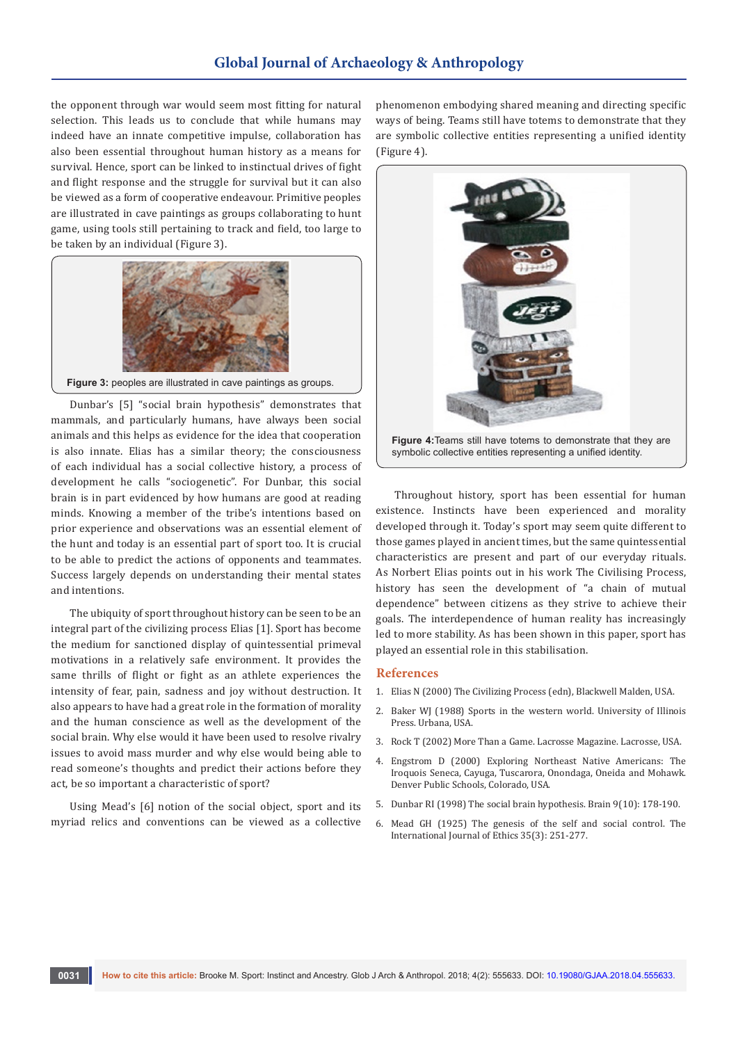the opponent through war would seem most fitting for natural selection. This leads us to conclude that while humans may indeed have an innate competitive impulse, collaboration has also been essential throughout human history as a means for survival. Hence, sport can be linked to instinctual drives of fight and flight response and the struggle for survival but it can also be viewed as a form of cooperative endeavour. Primitive peoples are illustrated in cave paintings as groups collaborating to hunt game, using tools still pertaining to track and field, too large to be taken by an individual (Figure 3).



Dunbar's [5] "social brain hypothesis" demonstrates that mammals, and particularly humans, have always been social animals and this helps as evidence for the idea that cooperation is also innate. Elias has a similar theory; the consciousness of each individual has a social collective history, a process of development he calls "sociogenetic". For Dunbar, this social brain is in part evidenced by how humans are good at reading minds. Knowing a member of the tribe's intentions based on prior experience and observations was an essential element of the hunt and today is an essential part of sport too. It is crucial to be able to predict the actions of opponents and teammates. Success largely depends on understanding their mental states and intentions.

The ubiquity of sport throughout history can be seen to be an integral part of the civilizing process Elias [1]. Sport has become the medium for sanctioned display of quintessential primeval motivations in a relatively safe environment. It provides the same thrills of flight or fight as an athlete experiences the intensity of fear, pain, sadness and joy without destruction. It also appears to have had a great role in the formation of morality and the human conscience as well as the development of the social brain. Why else would it have been used to resolve rivalry issues to avoid mass murder and why else would being able to read someone's thoughts and predict their actions before they act, be so important a characteristic of sport?

Using Mead's [6] notion of the social object, sport and its myriad relics and conventions can be viewed as a collective phenomenon embodying shared meaning and directing specific ways of being. Teams still have totems to demonstrate that they are symbolic collective entities representing a unified identity (Figure 4).



Throughout history, sport has been essential for human existence. Instincts have been experienced and morality developed through it. Today's sport may seem quite different to those games played in ancient times, but the same quintessential characteristics are present and part of our everyday rituals. As Norbert Elias points out in his work The Civilising Process, history has seen the development of "a chain of mutual dependence" between citizens as they strive to achieve their goals. The interdependence of human reality has increasingly led to more stability. As has been shown in this paper, sport has played an essential role in this stabilisation.

#### **References**

- 1. Elias N (2000) The Civilizing Process (edn), Blackwell Malden, USA.
- 2. Baker WJ (1988) Sports in the western world. University of Illinois Press. Urbana, USA.
- 3. Rock T (2002) More Than a Game. Lacrosse Magazine. Lacrosse, USA.
- 4. Engstrom D (2000) Exploring Northeast Native Americans: The Iroquois Seneca, Cayuga, Tuscarora, Onondaga, Oneida and Mohawk. Denver Public Schools, Colorado, USA.
- 5. Dunbar RI (1998) The social brain hypothesis. Brain 9(10): 178-190.
- 6. Mead GH (1925) The genesis of the self and social control. The International Journal of Ethics 35(3): 251-277.